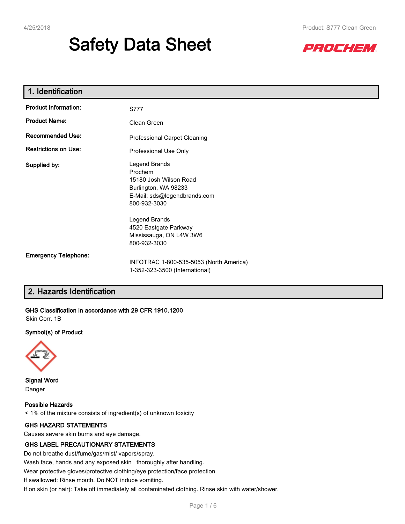# **Safety Data Sheet**



| 1. Identification           |                                                                                                                            |
|-----------------------------|----------------------------------------------------------------------------------------------------------------------------|
| <b>Product Information:</b> | S777                                                                                                                       |
| <b>Product Name:</b>        | Clean Green                                                                                                                |
| <b>Recommended Use:</b>     | Professional Carpet Cleaning                                                                                               |
| <b>Restrictions on Use:</b> | Professional Use Only                                                                                                      |
| Supplied by:                | Legend Brands<br>Prochem<br>15180 Josh Wilson Road<br>Burlington, WA 98233<br>E-Mail: sds@legendbrands.com<br>800-932-3030 |
|                             | Legend Brands<br>4520 Eastgate Parkway<br>Mississauga, ON L4W 3W6<br>800-932-3030                                          |
| <b>Emergency Telephone:</b> | INFOTRAC 1-800-535-5053 (North America)<br>1-352-323-3500 (International)                                                  |

# **2. Hazards Identification**

**GHS Classification in accordance with 29 CFR 1910.1200**

Skin Corr. 1B

#### **Symbol(s) of Product**



**Signal Word** Danger

**Possible Hazards** < 1% of the mixture consists of ingredient(s) of unknown toxicity

### **GHS HAZARD STATEMENTS**

Causes severe skin burns and eye damage.

#### **GHS LABEL PRECAUTIONARY STATEMENTS**

Do not breathe dust/fume/gas/mist/ vapors/spray.

Wash face, hands and any exposed skin thoroughly after handling.

Wear protective gloves/protective clothing/eye protection/face protection.

If swallowed: Rinse mouth. Do NOT induce vomiting.

If on skin (or hair): Take off immediately all contaminated clothing. Rinse skin with water/shower.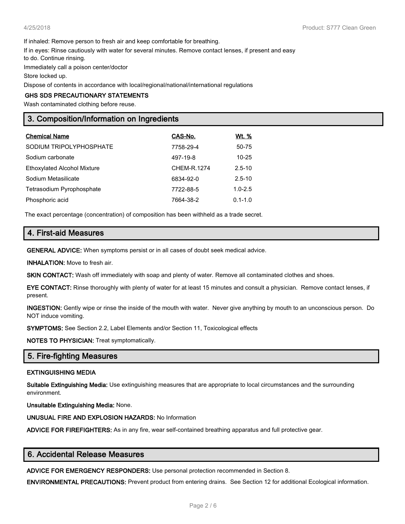If inhaled: Remove person to fresh air and keep comfortable for breathing.

If in eyes: Rinse cautiously with water for several minutes. Remove contact lenses, if present and easy

to do. Continue rinsing.

Immediately call a poison center/doctor

Store locked up.

Dispose of contents in accordance with local/regional/national/international regulations

#### **GHS SDS PRECAUTIONARY STATEMENTS**

Wash contaminated clothing before reuse.

## **3. Composition/Information on Ingredients**

| <b>Chemical Name</b>               | CAS-No.     | Wt. %       |
|------------------------------------|-------------|-------------|
| SODIUM TRIPOLYPHOSPHATE            | 7758-29-4   | 50-75       |
| Sodium carbonate                   | 497-19-8    | $10 - 25$   |
| <b>Ethoxylated Alcohol Mixture</b> | CHEM-R.1274 | $2.5 - 10$  |
| Sodium Metasilicate                | 6834-92-0   | $2.5 - 10$  |
| Tetrasodium Pyrophosphate          | 7722-88-5   | $1.0 - 2.5$ |
| Phosphoric acid                    | 7664-38-2   | $0.1 - 1.0$ |

The exact percentage (concentration) of composition has been withheld as a trade secret.

## **4. First-aid Measures**

**GENERAL ADVICE:** When symptoms persist or in all cases of doubt seek medical advice.

**INHALATION:** Move to fresh air.

**SKIN CONTACT:** Wash off immediately with soap and plenty of water. Remove all contaminated clothes and shoes.

**EYE CONTACT:** Rinse thoroughly with plenty of water for at least 15 minutes and consult a physician. Remove contact lenses, if present.

**INGESTION:** Gently wipe or rinse the inside of the mouth with water. Never give anything by mouth to an unconscious person. Do NOT induce vomiting.

**SYMPTOMS:** See Section 2.2, Label Elements and/or Section 11, Toxicological effects

**NOTES TO PHYSICIAN:** Treat symptomatically.

## **5. Fire-fighting Measures**

#### **EXTINGUISHING MEDIA**

**Suitable Extinguishing Media:** Use extinguishing measures that are appropriate to local circumstances and the surrounding environment.

**Unsuitable Extinguishing Media:** None.

**UNUSUAL FIRE AND EXPLOSION HAZARDS:** No Information

**ADVICE FOR FIREFIGHTERS:** As in any fire, wear self-contained breathing apparatus and full protective gear.

#### **6. Accidental Release Measures**

**ADVICE FOR EMERGENCY RESPONDERS:** Use personal protection recommended in Section 8.

**ENVIRONMENTAL PRECAUTIONS:** Prevent product from entering drains. See Section 12 for additional Ecological information.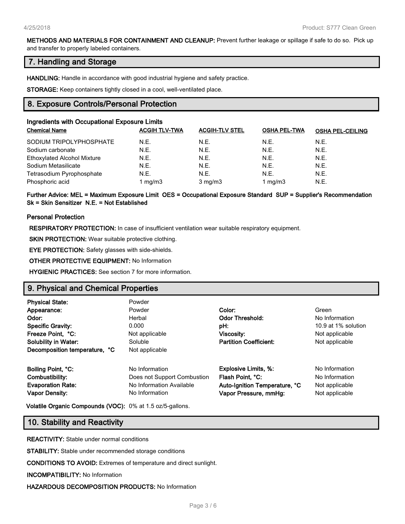#### **METHODS AND MATERIALS FOR CONTAINMENT AND CLEANUP:** Prevent further leakage or spillage if safe to do so. Pick up and transfer to properly labeled containers.

## **7. Handling and Storage**

**HANDLING:** Handle in accordance with good industrial hygiene and safety practice.

**STORAGE:** Keep containers tightly closed in a cool, well-ventilated place.

## **8. Exposure Controls/Personal Protection**

| Ingredients with Occupational Exposure Limits |                      |                       |                     |                         |  |
|-----------------------------------------------|----------------------|-----------------------|---------------------|-------------------------|--|
| <b>Chemical Name</b>                          | <b>ACGIH TLV-TWA</b> | <b>ACGIH-TLV STEL</b> | <b>OSHA PEL-TWA</b> | <b>OSHA PEL-CEILING</b> |  |
| SODIUM TRIPOLYPHOSPHATE                       | N.E.                 | N.E.                  | N.E.                | N.E.                    |  |
| Sodium carbonate                              | N.E.                 | N.E.                  | N.E.                | N.E.                    |  |
| <b>Ethoxylated Alcohol Mixture</b>            | N.E.                 | N.E.                  | N.E.                | N.E.                    |  |
| Sodium Metasilicate                           | N.E.                 | N.E.                  | N.E.                | N.E.                    |  |
| Tetrasodium Pyrophosphate                     | N.E.                 | N.E.                  | N.E.                | N.E.                    |  |
| Phosphoric acid                               | 1 mg/m $3$           | $3$ mg/m $3$          | 1 mg/m $3$          | N.E.                    |  |

### **Further Advice: MEL = Maximum Exposure Limit OES = Occupational Exposure Standard SUP = Supplier's Recommendation Sk = Skin Sensitizer N.E. = Not Established**

#### **Personal Protection**

**RESPIRATORY PROTECTION:** In case of insufficient ventilation wear suitable respiratory equipment.

**SKIN PROTECTION:** Wear suitable protective clothing.

**EYE PROTECTION:** Safety glasses with side-shields.

**OTHER PROTECTIVE EQUIPMENT:** No Information

**HYGIENIC PRACTICES:** See section 7 for more information.

## **9. Physical and Chemical Properties**

| <b>Physical State:</b>        | Powder                      |                               |                     |
|-------------------------------|-----------------------------|-------------------------------|---------------------|
| Appearance:                   | Powder                      | Color:                        | Green               |
| Odor:                         | Herbal                      | <b>Odor Threshold:</b>        | No Information      |
| <b>Specific Gravity:</b>      | 0.000                       | pH:                           | 10.9 at 1% solution |
| Freeze Point, °C:             | Not applicable              | Viscosity:                    | Not applicable      |
| <b>Solubility in Water:</b>   | Soluble                     | <b>Partition Coefficient:</b> | Not applicable      |
| Decomposition temperature, °C | Not applicable              |                               |                     |
| Boiling Point, °C:            | No Information              | <b>Explosive Limits, %:</b>   | No Information      |
| Combustibility:               | Does not Support Combustion | Flash Point, °C:              | No Information      |
| <b>Evaporation Rate:</b>      | No Information Available    | Auto-Ignition Temperature, °C | Not applicable      |
| <b>Vapor Density:</b>         | No Information              | Vapor Pressure, mmHg:         | Not applicable      |

**Volatile Organic Compounds (VOC):** 0% at 1.5 oz/5-gallons.

## **10. Stability and Reactivity**

**REACTIVITY:** Stable under normal conditions

**STABILITY:** Stable under recommended storage conditions

**CONDITIONS TO AVOID:** Extremes of temperature and direct sunlight.

**INCOMPATIBILITY:** No Information

**HAZARDOUS DECOMPOSITION PRODUCTS:** No Information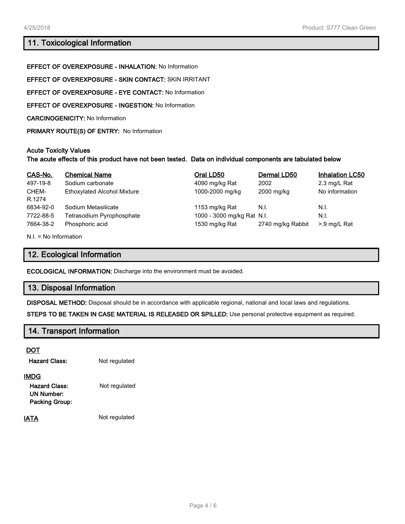# **11. Toxicological Information**

**EFFECT OF OVEREXPOSURE - INHALATION:** No Information **EFFECT OF OVEREXPOSURE - SKIN CONTACT:** SKIN IRRITANT **EFFECT OF OVEREXPOSURE - EYE CONTACT:** No Information **EFFECT OF OVEREXPOSURE - INGESTION:** No Information **CARCINOGENICITY:** No Information **PRIMARY ROUTE(S) OF ENTRY:** No Information

#### **Acute Toxicity Values**

## **The acute effects of this product have not been tested. Data on individual components are tabulated below**

| CAS-No.   | <b>Chemical Name</b>               | Oral LD50                  | Dermal LD50       | <b>Inhalation LC50</b> |
|-----------|------------------------------------|----------------------------|-------------------|------------------------|
| 497-19-8  | Sodium carbonate                   | 4090 mg/kg Rat             | 2002              | 2.3 mg/L Rat           |
| CHEM-     | <b>Ethoxylated Alcohol Mixture</b> | 1000-2000 mg/kg            | 2000 mg/kg        | No information         |
| R.1274    |                                    |                            |                   |                        |
| 6834-92-0 | Sodium Metasilicate                | 1153 mg/kg Rat             | N.I.              | N.I.                   |
| 7722-88-5 | Tetrasodium Pyrophosphate          | 1000 - 3000 mg/kg Rat N.I. |                   | N.I.                   |
| 7664-38-2 | Phosphoric acid                    | 1530 mg/kg Rat             | 2740 mg/kg Rabbit | >.9 mg/L Rat           |

N.I. = No Information

## **12. Ecological Information**

**ECOLOGICAL INFORMATION:** Discharge into the environment must be avoided.

## **13. Disposal Information**

**DISPOSAL METHOD:** Disposal should be in accordance with applicable regional, national and local laws and regulations.

**STEPS TO BE TAKEN IN CASE MATERIAL IS RELEASED OR SPILLED:** Use personal protective equipment as required.

## **14. Transport Information**

#### **DOT**

| Hazard Class: | Not regulated |
|---------------|---------------|
|               |               |

#### **IMDG**

Hazard Class: Not regulated **UN Number: Packing Group:**

**IATA** Not regulated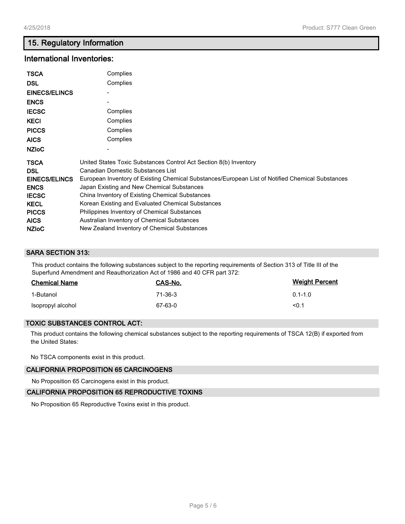# **15. Regulatory Information**

# **International Inventories:**

| <b>TSCA</b><br><b>DSL</b><br><b>EINECS/ELINCS</b><br><b>ENCS</b><br><b>IECSC</b><br><b>KECI</b><br><b>PICCS</b><br><b>AICS</b><br><b>NZIoC</b> | Complies<br>Complies<br>Complies<br>Complies<br>Complies<br>Complies                             |
|------------------------------------------------------------------------------------------------------------------------------------------------|--------------------------------------------------------------------------------------------------|
| <b>TSCA</b>                                                                                                                                    | United States Toxic Substances Control Act Section 8(b) Inventory                                |
| <b>DSL</b>                                                                                                                                     | Canadian Domestic Substances List                                                                |
| <b>EINECS/ELINCS</b>                                                                                                                           | European Inventory of Existing Chemical Substances/European List of Notified Chemical Substances |
| <b>ENCS</b>                                                                                                                                    | Japan Existing and New Chemical Substances                                                       |
| <b>IECSC</b>                                                                                                                                   | China Inventory of Existing Chemical Substances                                                  |
| <b>KECL</b>                                                                                                                                    | Korean Existing and Evaluated Chemical Substances                                                |
| <b>PICCS</b>                                                                                                                                   | Philippines Inventory of Chemical Substances                                                     |
| <b>AICS</b>                                                                                                                                    | Australian Inventory of Chemical Substances                                                      |
| <b>NZIOC</b>                                                                                                                                   | New Zealand Inventory of Chemical Substances                                                     |

## **SARA SECTION 313:**

This product contains the following substances subject to the reporting requirements of Section 313 of Title III of the Superfund Amendment and Reauthorization Act of 1986 and 40 CFR part 372:

| <b>Chemical Name</b> | CAS-No.   | <b>Weight Percent</b> |
|----------------------|-----------|-----------------------|
| 1-Butanol            | $71-36-3$ | $0.1 - 1.0$           |
| Isopropyl alcohol    | 67-63-0   | <0.1                  |

#### **TOXIC SUBSTANCES CONTROL ACT:**

This product contains the following chemical substances subject to the reporting requirements of TSCA 12(B) if exported from the United States:

No TSCA components exist in this product.

#### **CALIFORNIA PROPOSITION 65 CARCINOGENS**

No Proposition 65 Carcinogens exist in this product.

## **CALIFORNIA PROPOSITION 65 REPRODUCTIVE TOXINS**

No Proposition 65 Reproductive Toxins exist in this product.